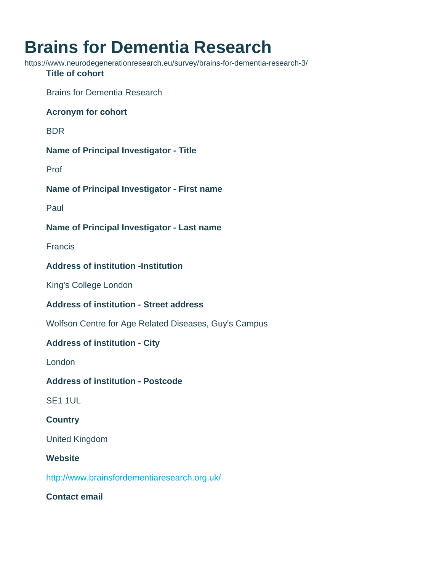# Brains for Dementia Research

https://www.neurodegenerationresearch.eu/survey/brains-for-dementia-research-3/ Title of cohort Brains for Dementia Research Acronym for cohort BDR Name of Principal Investigator - Title Prof Name of Principal Investigator - First name Paul Name of Principal Investigator - Last name Francis Address of institution -Institution King's College London Address of institution - Street address Wolfson Centre for Age Related Diseases, Guy's Campus Address of institution - City London Address of institution - Postcode SE1 1UL **Country** United Kingdom **Website** <http://www.brainsfordementiaresearch.org.uk/> Contact email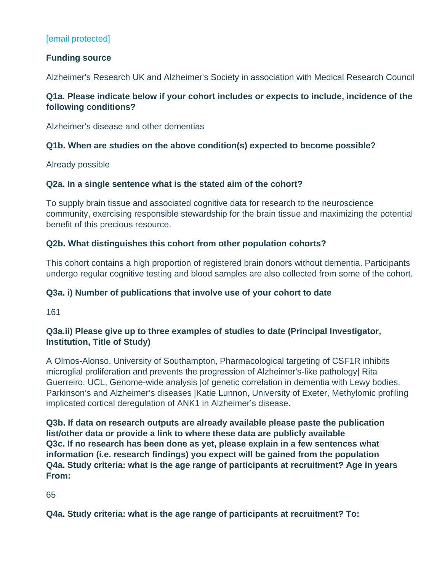# [\[email protected\]](/cdn-cgi/l/email-protection#39195b5d4b17565f5f505a5c79525a5517585a174c52)

Funding source

Alzheimer's Research UK and Alzheimer's Society in association with Medical Research Council

Q1a. Please indicate below if your cohort includes or expects to include, incidence of the following conditions?

Alzheimer's disease and other dementias

Q1b. When are studies on the above condition(s) expected to become possible?

Already possible

Q2a. In a single sentence what is the stated aim of the cohort?

To supply brain tissue and associated cognitive data for research to the neuroscience community, exercising responsible stewardship for the brain tissue and maximizing the potential benefit of this precious resource.

Q2b. What distinguishes this cohort from other population cohorts?

This cohort contains a high proportion of registered brain donors without dementia. Participants undergo regular cognitive testing and blood samples are also collected from some of the cohort.

Q3a. i) Number of publications that involve use of your cohort to date

161

Q3a.ii) Please give up to three examples of studies to date (Principal Investigator, Institution, Title of Study)

A Olmos-Alonso, University of Southampton, Pharmacological targeting of CSF1R inhibits microglial proliferation and prevents the progression of Alzheimer's-like pathology| Rita Guerreiro, UCL, Genome-wide analysis |of genetic correlation in dementia with Lewy bodies, Parkinson's and Alzheimer's diseases |Katie Lunnon, University of Exeter, Methylomic profiling implicated cortical deregulation of ANK1 in Alzheimer's disease.

Q3b. If data on research outputs are already available please paste the publication list/other data or provide a link to where these data are publicly available Q3c. If no research has been done as yet, please explain in a few sentences what information (i.e. research findings) you expect will be gained from the population Q4a. Study criteria: what is the age range of participants at recruitment? Age in years From:

65

Q4a. Study criteria: what is the age range of participants at recruitment? To: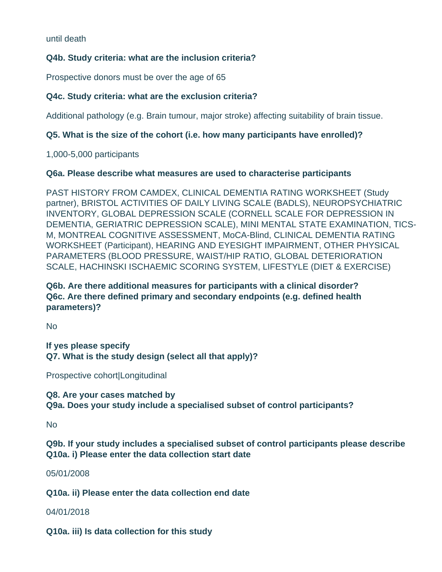until death

## **Q4b. Study criteria: what are the inclusion criteria?**

Prospective donors must be over the age of 65

## **Q4c. Study criteria: what are the exclusion criteria?**

Additional pathology (e.g. Brain tumour, major stroke) affecting suitability of brain tissue.

# **Q5. What is the size of the cohort (i.e. how many participants have enrolled)?**

1,000-5,000 participants

#### **Q6a. Please describe what measures are used to characterise participants**

PAST HISTORY FROM CAMDEX, CLINICAL DEMENTIA RATING WORKSHEET (Study partner), BRISTOL ACTIVITIES OF DAILY LIVING SCALE (BADLS), NEUROPSYCHIATRIC INVENTORY, GLOBAL DEPRESSION SCALE (CORNELL SCALE FOR DEPRESSION IN DEMENTIA, GERIATRIC DEPRESSION SCALE), MINI MENTAL STATE EXAMINATION, TICS-M, MONTREAL COGNITIVE ASSESSMENT, MoCA-Blind, CLINICAL DEMENTIA RATING WORKSHEET (Participant), HEARING AND EYESIGHT IMPAIRMENT, OTHER PHYSICAL PARAMETERS (BLOOD PRESSURE, WAIST/HIP RATIO, GLOBAL DETERIORATION SCALE, HACHINSKI ISCHAEMIC SCORING SYSTEM, LIFESTYLE (DIET & EXERCISE)

# **Q6b. Are there additional measures for participants with a clinical disorder? Q6c. Are there defined primary and secondary endpoints (e.g. defined health parameters)?**

No

**If yes please specify Q7. What is the study design (select all that apply)?**

Prospective cohort|Longitudinal

**Q8. Are your cases matched by Q9a. Does your study include a specialised subset of control participants?**

No

**Q9b. If your study includes a specialised subset of control participants please describe Q10a. i) Please enter the data collection start date**

05/01/2008

**Q10a. ii) Please enter the data collection end date**

#### 04/01/2018

**Q10a. iii) Is data collection for this study**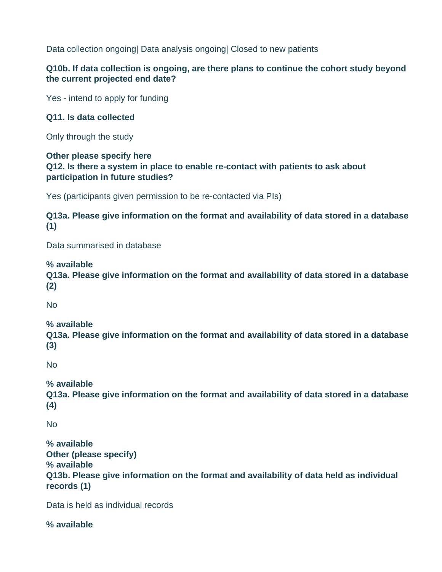Data collection ongoing| Data analysis ongoing| Closed to new patients

# **Q10b. If data collection is ongoing, are there plans to continue the cohort study beyond the current projected end date?**

Yes - intend to apply for funding

## **Q11. Is data collected**

Only through the study

#### **Other please specify here Q12. Is there a system in place to enable re-contact with patients to ask about participation in future studies?**

Yes (participants given permission to be re-contacted via PIs)

**Q13a. Please give information on the format and availability of data stored in a database (1)**

Data summarised in database

**% available**

**Q13a. Please give information on the format and availability of data stored in a database (2)**

No

# **% available**

**Q13a. Please give information on the format and availability of data stored in a database (3)**

No

# **% available**

**Q13a. Please give information on the format and availability of data stored in a database (4)**

No

**% available Other (please specify) % available Q13b. Please give information on the format and availability of data held as individual records (1)**

Data is held as individual records

**% available**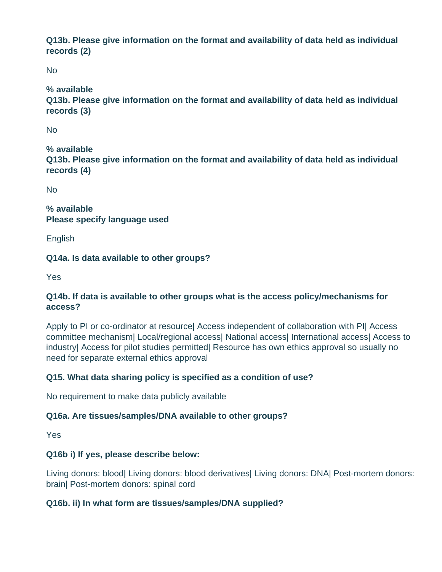**Q13b. Please give information on the format and availability of data held as individual records (2)**

No

# **% available**

**Q13b. Please give information on the format and availability of data held as individual records (3)**

No

**% available Q13b. Please give information on the format and availability of data held as individual records (4)**

No

**% available Please specify language used**

English

**Q14a. Is data available to other groups?**

Yes

## **Q14b. If data is available to other groups what is the access policy/mechanisms for access?**

Apply to PI or co-ordinator at resource| Access independent of collaboration with PI| Access committee mechanism| Local/regional access| National access| International access| Access to industry| Access for pilot studies permitted| Resource has own ethics approval so usually no need for separate external ethics approval

# **Q15. What data sharing policy is specified as a condition of use?**

No requirement to make data publicly available

# **Q16a. Are tissues/samples/DNA available to other groups?**

Yes

# **Q16b i) If yes, please describe below:**

Living donors: blood| Living donors: blood derivatives| Living donors: DNA| Post-mortem donors: brain| Post-mortem donors: spinal cord

# **Q16b. ii) In what form are tissues/samples/DNA supplied?**